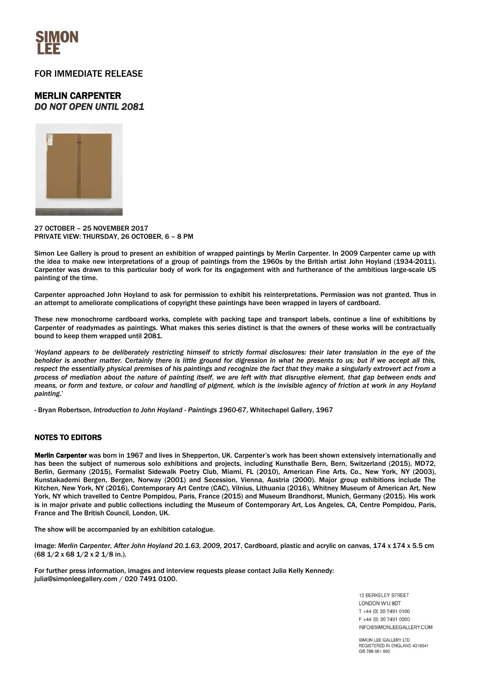

## FOR IMMEDIATE RELEASE

# MERLIN CARPENTER *DO NOT OPEN UNTIL 2081*



27 OCTOBER – 25 NOVEMBER 2017 PRIVATE VIEW: THURSDAY, 26 OCTOBER, 6 – 8 PM

Simon Lee Gallery is proud to present an exhibition of wrapped paintings by Merlin Carpenter. In 2009 Carpenter came up with the idea to make new interpretations of a group of paintings from the 1960s by the British artist John Hoyland (1934-2011). Carpenter was drawn to this particular body of work for its engagement with and furtherance of the ambitious large-scale US painting of the time.

Carpenter approached John Hoyland to ask for permission to exhibit his reinterpretations. Permission was not granted. Thus in an attempt to ameliorate complications of copyright these paintings have been wrapped in layers of cardboard.

These new monochrome cardboard works, complete with packing tape and transport labels, continue a line of exhibitions by Carpenter of readymades as paintings. What makes this series distinct is that the owners of these works will be contractually bound to keep them wrapped until 2081.

'*Hoyland appears to be deliberately restricting himself to strictly formal disclosures: their later translation in the eye of the beholder is another matter. Certainly there is little ground for digression in what he presents to us; but if we accept all this, respect the essentially physical premises of his paintings and recognize the fact that they make a singularly extrovert act from a process of mediation about the nature of painting itself, we are left with that disruptive element, that gap between ends and means, or form and texture, or colour and handling of pigment, which is the invisible agency of friction at work in any Hoyland painting*.'

- Bryan Robertson, *Introduction to John Hoyland - Paintings 1960-67*, Whitechapel Gallery, 1967

## NOTES TO EDITORS

Merlin Carpenter was born in 1967 and lives in Shepperton, UK. Carpenter's work has been shown extensively internationally and has been the subject of numerous solo exhibitions and projects, including Kunsthalle Bern, Bern, Switzerland (2015), MD72, Berlin, Germany (2015), Formalist Sidewalk Poetry Club, Miami, FL (2010), American Fine Arts, Co., New York, NY (2003), Kunstakademi Bergen, Bergen, Norway (2001) and Secession, Vienna, Austria (2000). Major group exhibitions include The Kitchen, New York, NY (2016), Contemporary Art Centre (CAC), Vilnius, Lithuania (2016), Whitney Museum of American Art, New York, NY which travelled to Centre Pompidou, Paris, France (2015) and Museum Brandhorst, Munich, Germany (2015). His work is in major private and public collections including the Museum of Contemporary Art, Los Angeles, CA, Centre Pompidou, Paris, France and The British Council, London, UK.

The show will be accompanied by an exhibition catalogue.

Image: *Merlin Carpenter, After John Hoyland 20.1.63, 2009*, 2017, Cardboard, plastic and acrylic on canvas, 174 x 174 x 5.5 cm (68 1/2 x 68 1/2 x 2 1/8 in.).

For further press information, images and interview requests please contact Julia Kelly Kennedy: [julia@simonleegallery.com](mailto:julia@simonleegallery.com) / 020 7491 0100.

> 12 BERKELEY STREET **LONDON W1J 8DT** T +44 (0) 20 7491 0100 F +44 (0) 20 7491 0200 INFO@SIMONLEEGALLERY.COM

SIMON LEE GALLERY LTD REGISTERED IN ENGLAND 4316341 GB 788 061 692